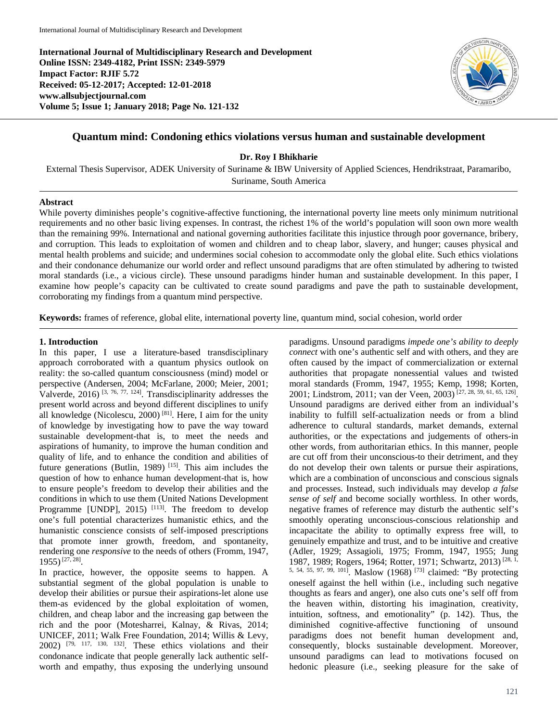**International Journal of Multidisciplinary Research and Development Online ISSN: 2349-4182, Print ISSN: 2349-5979 Impact Factor: RJIF 5.72 Received: 05-12-2017; Accepted: 12-01-2018 www.allsubjectjournal.com Volume 5; Issue 1; January 2018; Page No. 121-132**



## **Quantum mind: Condoning ethics violations versus human and sustainable development**

**Dr. Roy I Bhikharie**

External Thesis Supervisor, ADEK University of Suriname & IBW University of Applied Sciences, Hendrikstraat, Paramaribo, Suriname, South America

#### **Abstract**

While poverty diminishes people's cognitive-affective functioning, the international poverty line meets only minimum nutritional requirements and no other basic living expenses. In contrast, the richest 1% of the world's population will soon own more wealth than the remaining 99%. International and national governing authorities facilitate this injustice through poor governance, bribery, and corruption. This leads to exploitation of women and children and to cheap labor, slavery, and hunger; causes physical and mental health problems and suicide; and undermines social cohesion to accommodate only the global elite. Such ethics violations and their condonance dehumanize our world order and reflect unsound paradigms that are often stimulated by adhering to twisted moral standards (i.e., a vicious circle). These unsound paradigms hinder human and sustainable development. In this paper, I examine how people's capacity can be cultivated to create sound paradigms and pave the path to sustainable development, corroborating my findings from a quantum mind perspective.

**Keywords:** frames of reference, global elite, international poverty line, quantum mind, social cohesion, world order

#### **1. Introduction**

In this paper, I use a literature-based transdisciplinary approach corroborated with a quantum physics outlook on reality: the so-called quantum consciousness (mind) model or perspective (Andersen, 2004; McFarlane, 2000; Meier, 2001; Valverde,  $2016$ <sup>[3, 76, 77, 124]</sup>. Transdisciplinarity addresses the present world across and beyond different disciplines to unify all knowledge (Nicolescu, 2000)<sup>[81]</sup>. Here, I aim for the unity of knowledge by investigating how to pave the way toward sustainable development-that is, to meet the needs and aspirations of humanity, to improve the human condition and quality of life, and to enhance the condition and abilities of future generations (Butlin, 1989)<sup>[15]</sup>. This aim includes the question of how to enhance human development-that is, how to ensure people's freedom to develop their abilities and the conditions in which to use them (United Nations Development Programme [UNDP],  $2015$ )  $^{[113]}$ . The freedom to develop one's full potential characterizes humanistic ethics, and the humanistic conscience consists of self-imposed prescriptions that promote inner growth, freedom, and spontaneity, rendering one *responsive* to the needs of others (Fromm, 1947, 1955)[27, 28].

In practice, however, the opposite seems to happen. A substantial segment of the global population is unable to develop their abilities or pursue their aspirations-let alone use them-as evidenced by the global exploitation of women, children, and cheap labor and the increasing gap between the rich and the poor (Motesharrei, Kalnay, & Rivas, 2014; UNICEF, 2011; Walk Free Foundation, 2014; Willis & Levy, 2002) [79, 117, 130, 132]. These ethics violations and their condonance indicate that people generally lack authentic selfworth and empathy, thus exposing the underlying unsound paradigms. Unsound paradigms *impede one's ability to deeply connect* with one's authentic self and with others, and they are often caused by the impact of commercialization or external authorities that propagate nonessential values and twisted moral standards (Fromm, 1947, 1955; Kemp, 1998; Korten, 2001; Lindstrom, 2011; van der Veen, 2003) [27, 28, 59, 61, 65, 126]. Unsound paradigms are derived either from an individual's inability to fulfill self-actualization needs or from a blind adherence to cultural standards, market demands, external authorities, or the expectations and judgements of others-in other words, from authoritarian ethics. In this manner, people are cut off from their unconscious-to their detriment, and they do not develop their own talents or pursue their aspirations, which are a combination of unconscious and conscious signals and processes. Instead, such individuals may develop *a false sense of self* and become socially worthless. In other words, negative frames of reference may disturb the authentic self's smoothly operating unconscious-conscious relationship and incapacitate the ability to optimally express free will, to genuinely empathize and trust, and to be intuitive and creative (Adler, 1929; Assagioli, 1975; Fromm, 1947, 1955; Jung 1987, 1989; Rogers, 1964; Rotter, 1971; Schwartz, 2013)<sup>[28, 1</sup>, 5, 54, 55, 97, 99, 101] . Maslow (1968) [73] claimed: "By protecting oneself against the hell within (i.e., including such negative thoughts as fears and anger), one also cuts one's self off from the heaven within, distorting his imagination, creativity, intuition, softness, and emotionality" (p. 142). Thus, the diminished cognitive-affective functioning of unsound paradigms does not benefit human development and, consequently, blocks sustainable development. Moreover, unsound paradigms can lead to motivations focused on hedonic pleasure (i.e., seeking pleasure for the sake of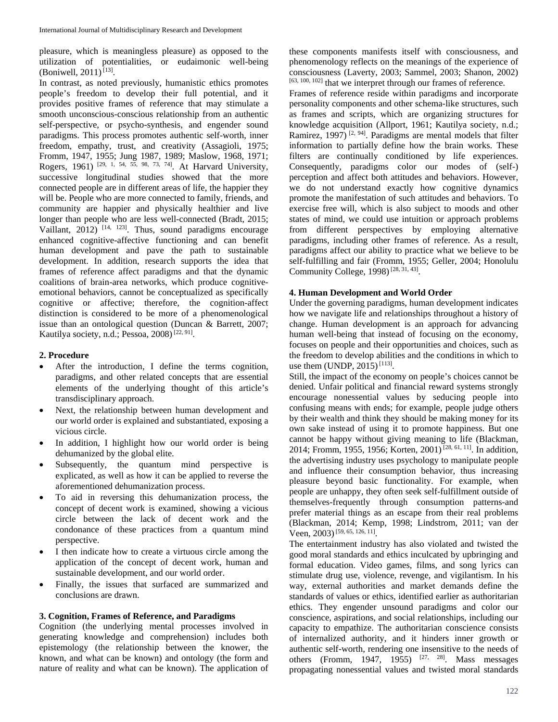pleasure, which is meaningless pleasure) as opposed to the utilization of potentialities, or eudaimonic well-being (Boniwell, 2011)<sup>[13]</sup>.

In contrast, as noted previously, humanistic ethics promotes people's freedom to develop their full potential, and it provides positive frames of reference that may stimulate a smooth unconscious-conscious relationship from an authentic self-perspective, or psycho-synthesis, and engender sound paradigms. This process promotes authentic self-worth, inner freedom, empathy, trust, and creativity (Assagioli, 1975; Fromm, 1947, 1955; Jung 1987, 1989; Maslow, 1968, 1971; Rogers, 1961)<sup>[29, 1, 54, 55, 98, 73, 74]</sup>. At Harvard University, successive longitudinal studies showed that the more connected people are in different areas of life, the happier they will be. People who are more connected to family, friends, and community are happier and physically healthier and live longer than people who are less well-connected (Bradt, 2015; Vaillant,  $2012$ )  $[14, 123]$ . Thus, sound paradigms encourage enhanced cognitive-affective functioning and can benefit human development and pave the path to sustainable development. In addition, research supports the idea that frames of reference affect paradigms and that the dynamic coalitions of brain-area networks, which produce cognitiveemotional behaviors, cannot be conceptualized as specifically cognitive or affective; therefore, the cognition-affect distinction is considered to be more of a phenomenological issue than an ontological question (Duncan & Barrett, 2007; Kautilya society, n.d.; Pessoa,  $2008$ <sup>[22, 91]</sup>.

### **2. Procedure**

- After the introduction, I define the terms cognition, paradigms, and other related concepts that are essential elements of the underlying thought of this article's transdisciplinary approach.
- Next, the relationship between human development and our world order is explained and substantiated, exposing a vicious circle.
- In addition, I highlight how our world order is being dehumanized by the global elite.
- Subsequently, the quantum mind perspective is explicated, as well as how it can be applied to reverse the aforementioned dehumanization process.
- To aid in reversing this dehumanization process, the concept of decent work is examined, showing a vicious circle between the lack of decent work and the condonance of these practices from a quantum mind perspective.
- I then indicate how to create a virtuous circle among the application of the concept of decent work, human and sustainable development, and our world order.
- Finally, the issues that surfaced are summarized and conclusions are drawn.

### **3. Cognition, Frames of Reference, and Paradigms**

Cognition (the underlying mental processes involved in generating knowledge and comprehension) includes both epistemology (the relationship between the knower, the known, and what can be known) and ontology (the form and nature of reality and what can be known). The application of

these components manifests itself with consciousness, and phenomenology reflects on the meanings of the experience of consciousness (Laverty, 2003; Sammel, 2003; Shanon, 2002) [63, 100, 102] that we interpret through our frames of reference.

Frames of reference reside within paradigms and incorporate personality components and other schema-like structures, such as frames and scripts, which are organizing structures for knowledge acquisition (Allport, 1961; Kautilya society, n.d.; Ramirez, 1997)<sup>[2, 94]</sup>. Paradigms are mental models that filter information to partially define how the brain works. These filters are continually conditioned by life experiences. Consequently, paradigms color our modes of (self-) perception and affect both attitudes and behaviors. However, we do not understand exactly how cognitive dynamics promote the manifestation of such attitudes and behaviors. To exercise free will, which is also subject to moods and other states of mind, we could use intuition or approach problems from different perspectives by employing alternative paradigms, including other frames of reference. As a result, paradigms affect our ability to practice what we believe to be self-fulfilling and fair (Fromm, 1955; Geller, 2004; Honolulu Community College,  $1998$ <sup>[28, 31, 43]</sup>.

### **4. Human Development and World Order**

Under the governing paradigms, human development indicates how we navigate life and relationships throughout a history of change. Human development is an approach for advancing human well-being that instead of focusing on the economy, focuses on people and their opportunities and choices, such as the freedom to develop abilities and the conditions in which to use them (UNDP, 2015)<sup>[113]</sup>.

Still, the impact of the economy on people's choices cannot be denied. Unfair political and financial reward systems strongly encourage nonessential values by seducing people into confusing means with ends; for example, people judge others by their wealth and think they should be making money for its own sake instead of using it to promote happiness. But one cannot be happy without giving meaning to life (Blackman, 2014; Fromm, 1955, 1956; Korten, 2001) [28, 61, 11] . In addition, the advertising industry uses psychology to manipulate people and influence their consumption behavior, thus increasing pleasure beyond basic functionality. For example, when people are unhappy, they often seek self-fulfillment outside of themselves-frequently through consumption patterns-and prefer material things as an escape from their real problems (Blackman, 2014; Kemp, 1998; Lindstrom, 2011; van der Veen, 2003)<sup>[59, 65, 126, 11]</sup>.

The entertainment industry has also violated and twisted the good moral standards and ethics inculcated by upbringing and formal education. Video games, films, and song lyrics can stimulate drug use, violence, revenge, and vigilantism. In his way, external authorities and market demands define the standards of values or ethics, identified earlier as authoritarian ethics. They engender unsound paradigms and color our conscience, aspirations, and social relationships, including our capacity to empathize. The authoritarian conscience consists of internalized authority, and it hinders inner growth or authentic self-worth, rendering one insensitive to the needs of others (Fromm, 1947, 1955)  $[27, 28]$ . Mass messages propagating nonessential values and twisted moral standards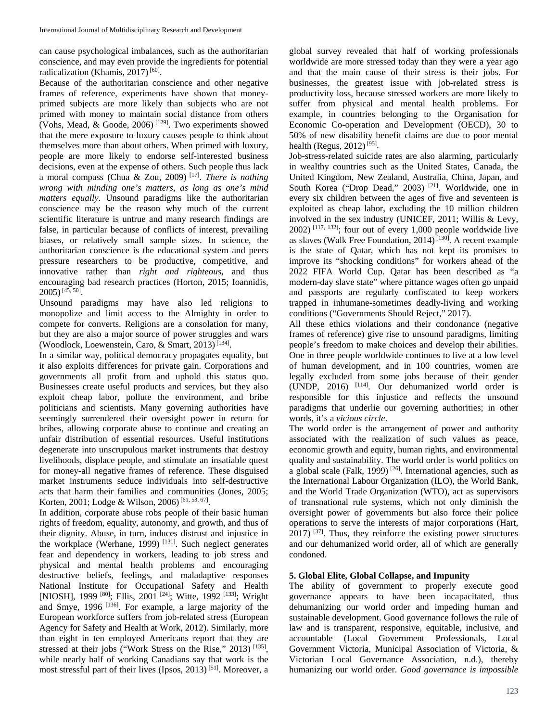can cause psychological imbalances, such as the authoritarian conscience, and may even provide the ingredients for potential radicalization (Khamis,  $2017$ )<sup>[60]</sup>.

Because of the authoritarian conscience and other negative frames of reference, experiments have shown that moneyprimed subjects are more likely than subjects who are not primed with money to maintain social distance from others (Vohs, Mead,  $&$  Goode, 2006)<sup>[129]</sup>. Two experiments showed that the mere exposure to luxury causes people to think about themselves more than about others. When primed with luxury, people are more likely to endorse self-interested business decisions, even at the expense of others. Such people thus lack a moral compass (Chua & Zou, 2009) [17]. *There is nothing wrong with minding one's matters, as long as one's mind matters equally*. Unsound paradigms like the authoritarian conscience may be the reason why much of the current scientific literature is untrue and many research findings are false, in particular because of conflicts of interest, prevailing biases, or relatively small sample sizes. In science, the authoritarian conscience is the educational system and peers pressure researchers to be productive, competitive, and innovative rather than *right and righteous*, and thus encouraging bad research practices (Horton, 2015; Ioannidis, 2005)[45, 50].

Unsound paradigms may have also led religions to monopolize and limit access to the Almighty in order to compete for converts. Religions are a consolation for many, but they are also a major source of power struggles and wars (Woodlock, Loewenstein, Caro, & Smart, 2013)<sup>[134]</sup>.

In a similar way, political democracy propagates equality, but it also exploits differences for private gain. Corporations and governments all profit from and uphold this status quo. Businesses create useful products and services, but they also exploit cheap labor, pollute the environment, and bribe politicians and scientists. Many governing authorities have seemingly surrendered their oversight power in return for bribes, allowing corporate abuse to continue and creating an unfair distribution of essential resources. Useful institutions degenerate into unscrupulous market instruments that destroy livelihoods, displace people, and stimulate an insatiable quest for money-all negative frames of reference. These disguised market instruments seduce individuals into self-destructive acts that harm their families and communities (Jones, 2005; Korten, 2001; Lodge & Wilson, 2006)<sup>[61, 53, 67]</sup>.

In addition, corporate abuse robs people of their basic human rights of freedom, equality, autonomy, and growth, and thus of their dignity. Abuse, in turn, induces distrust and injustice in the workplace (Werhane, 1999)  $^{[131]}$ . Such neglect generates fear and dependency in workers, leading to job stress and physical and mental health problems and encouraging destructive beliefs, feelings, and maladaptive responses National Institute for Occupational Safety and Health [NIOSH], 1999<sup>[80]</sup>; Ellis, 2001<sup>[24]</sup>; Witte, 1992<sup>[133]</sup>; Wright and Smye, 1996 [136]. For example, a large majority of the European workforce suffers from job-related stress (European Agency for Safety and Health at Work, 2012). Similarly, more than eight in ten employed Americans report that they are stressed at their jobs ("Work Stress on the Rise," 2013) [135], while nearly half of working Canadians say that work is the most stressful part of their lives (Ipsos, 2013) [51]. Moreover, a

global survey revealed that half of working professionals worldwide are more stressed today than they were a year ago and that the main cause of their stress is their jobs. For businesses, the greatest issue with job-related stress is productivity loss, because stressed workers are more likely to suffer from physical and mental health problems. For example, in countries belonging to the Organisation for Economic Co-operation and Development (OECD), 30 to 50% of new disability benefit claims are due to poor mental health (Regus, 2012)<sup>[95]</sup>.

Job-stress-related suicide rates are also alarming, particularly in wealthy countries such as the United States, Canada, the United Kingdom, New Zealand, Australia, China, Japan, and South Korea ("Drop Dead," 2003)<sup>[21]</sup>. Worldwide, one in every six children between the ages of five and seventeen is exploited as cheap labor, excluding the 10 million children involved in the sex industry (UNICEF, 2011; Willis & Levy,  $2002$ ) [117, 132]; four out of every 1,000 people worldwide live as slaves (Walk Free Foundation, 2014)<sup>[130]</sup>. A recent example is the state of Qatar, which has not kept its promises to improve its "shocking conditions" for workers ahead of the 2022 FIFA World Cup. Qatar has been described as "a modern-day slave state" where pittance wages often go unpaid and passports are regularly confiscated to keep workers trapped in inhumane-sometimes deadly-living and working conditions ("Governments Should Reject," 2017).

All these ethics violations and their condonance (negative frames of reference) give rise to unsound paradigms, limiting people's freedom to make choices and develop their abilities. One in three people worldwide continues to live at a low level of human development, and in 100 countries, women are legally excluded from some jobs because of their gender (UNDP, 2016) [114]. Our dehumanized world order is responsible for this injustice and reflects the unsound paradigms that underlie our governing authorities; in other words, it's a *vicious circle*.

The world order is the arrangement of power and authority associated with the realization of such values as peace, economic growth and equity, human rights, and environmental quality and sustainability. The world order is world politics on a global scale (Falk, 1999)  $^{[26]}$ . International agencies, such as the International Labour Organization (ILO), the World Bank, and the World Trade Organization (WTO), act as supervisors of transnational rule systems, which not only diminish the oversight power of governments but also force their police operations to serve the interests of major corporations (Hart,  $2017$ )  $^{[37]}$ . Thus, they reinforce the existing power structures and our dehumanized world order, all of which are generally condoned.

# **5. Global Elite, Global Collapse, and Impunity**

The ability of government to properly execute good governance appears to have been incapacitated, thus dehumanizing our world order and impeding human and sustainable development. Good governance follows the rule of law and is transparent, responsive, equitable, inclusive, and accountable (Local Government Professionals, Local Government Victoria, Municipal Association of Victoria, & Victorian Local Governance Association, n.d.), thereby humanizing our world order. *Good governance is impossible*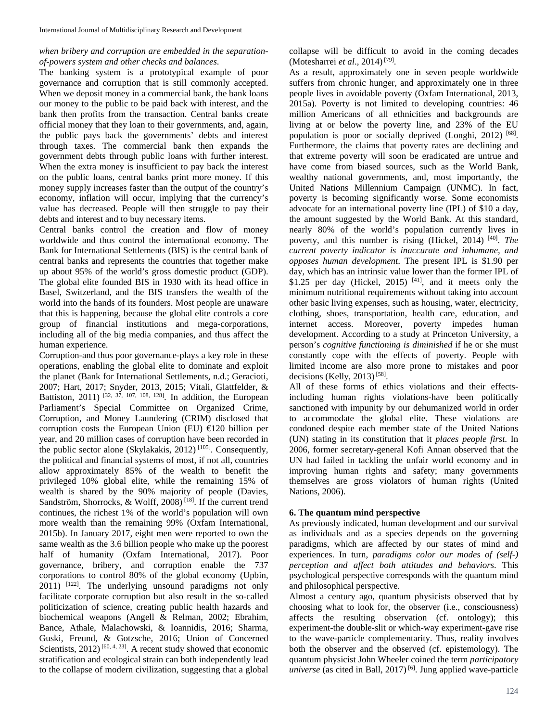# *when bribery and corruption are embedded in the separationof-powers system and other checks and balances*.

The banking system is a prototypical example of poor governance and corruption that is still commonly accepted. When we deposit money in a commercial bank, the bank loans our money to the public to be paid back with interest, and the bank then profits from the transaction. Central banks create official money that they loan to their governments, and, again, the public pays back the governments' debts and interest through taxes. The commercial bank then expands the government debts through public loans with further interest. When the extra money is insufficient to pay back the interest on the public loans, central banks print more money. If this money supply increases faster than the output of the country's economy, inflation will occur, implying that the currency's value has decreased. People will then struggle to pay their debts and interest and to buy necessary items.

Central banks control the creation and flow of money worldwide and thus control the international economy. The Bank for International Settlements (BIS) is the central bank of central banks and represents the countries that together make up about 95% of the world's gross domestic product (GDP). The global elite founded BIS in 1930 with its head office in Basel, Switzerland, and the BIS transfers the wealth of the world into the hands of its founders. Most people are unaware that this is happening, because the global elite controls a core group of financial institutions and mega-corporations, including all of the big media companies, and thus affect the human experience.

Corruption-and thus poor governance-plays a key role in these operations, enabling the global elite to dominate and exploit the planet (Bank for International Settlements, n.d.; Geracioti, 2007; Hart, 2017; Snyder, 2013, 2015; Vitali, Glattfelder, & Battiston, 2011)  $[32, 37, 107, 108, 128]$ . In addition, the European Parliament's Special Committee on Organized Crime, Corruption, and Money Laundering (CRIM) disclosed that corruption costs the European Union (EU)  $\bigoplus$  20 billion per year, and 20 million cases of corruption have been recorded in the public sector alone (Skylakakis, 2012)<sup>[105]</sup>. Consequently, the political and financial systems of most, if not all, countries allow approximately 85% of the wealth to benefit the privileged 10% global elite, while the remaining 15% of wealth is shared by the 90% majority of people (Davies, Sandström, Shorrocks, & Wolff, 2008)<sup>[18]</sup>. If the current trend continues, the richest 1% of the world's population will own more wealth than the remaining 99% (Oxfam International, 2015b). In January 2017, eight men were reported to own the same wealth as the 3.6 billion people who make up the poorest half of humanity (Oxfam International, 2017). Poor governance, bribery, and corruption enable the 737 corporations to control 80% of the global economy (Upbin, 2011) <sup>[122]</sup>. The underlying unsound paradigms not only facilitate corporate corruption but also result in the so-called politicization of science, creating public health hazards and biochemical weapons (Angell & Relman, 2002; Ebrahim, Bance, Athale, Malachowski, & Ioannidis, 2016; Sharma, Guski, Freund, & Gotzsche, 2016; Union of Concerned Scientists,  $2012$ <sup>[60, 4, 23]</sup>. A recent study showed that economic stratification and ecological strain can both independently lead to the collapse of modern civilization, suggesting that a global collapse will be difficult to avoid in the coming decades (Motesharrei et al., 2014)<sup>[79]</sup>.

As a result, approximately one in seven people worldwide suffers from chronic hunger, and approximately one in three people lives in avoidable poverty (Oxfam International, 2013, 2015a). Poverty is not limited to developing countries: 46 million Americans of all ethnicities and backgrounds are living at or below the poverty line, and 23% of the EU population is poor or socially deprived (Longhi, 2012) [68]. Furthermore, the claims that poverty rates are declining and that extreme poverty will soon be eradicated are untrue and have come from biased sources, such as the World Bank, wealthy national governments, and, most importantly, the United Nations Millennium Campaign (UNMC). In fact, poverty is becoming significantly worse. Some economists advocate for an international poverty line (IPL) of \$10 a day, the amount suggested by the World Bank. At this standard, nearly 80% of the world's population currently lives in poverty, and this number is rising (Hickel, 2014) [40]. *The current poverty indicator is inaccurate and inhumane, and opposes human development*. The present IPL is \$1.90 per day, which has an intrinsic value lower than the former IPL of \$1.25 per day (Hickel,  $2015$ )  $^{[41]}$ , and it meets only the minimum nutritional requirements without taking into account other basic living expenses, such as housing, water, electricity, clothing, shoes, transportation, health care, education, and internet access. Moreover, poverty impedes human development. According to a study at Princeton University, a person's *cognitive functioning is diminished* if he or she must constantly cope with the effects of poverty. People with limited income are also more prone to mistakes and poor decisions (Kelly, 2013)<sup>[58]</sup>.

All of these forms of ethics violations and their effectsincluding human rights violations-have been politically sanctioned with impunity by our dehumanized world in order to accommodate the global elite. These violations are condoned despite each member state of the United Nations (UN) stating in its constitution that it *places people first*. In 2006, former secretary-general Kofi Annan observed that the UN had failed in tackling the unfair world economy and in improving human rights and safety; many governments themselves are gross violators of human rights (United Nations, 2006).

# **6. The quantum mind perspective**

As previously indicated, human development and our survival as individuals and as a species depends on the governing paradigms, which are affected by our states of mind and experiences. In turn, *paradigms color our modes of (self-) perception and affect both attitudes and behaviors*. This psychological perspective corresponds with the quantum mind and philosophical perspective.

Almost a century ago, quantum physicists observed that by choosing what to look for, the observer (i.e., consciousness) affects the resulting observation (cf. ontology); this experiment-the double-slit or which-way experiment-gave rise to the wave-particle complementarity. Thus, reality involves both the observer and the observed (cf. epistemology). The quantum physicist John Wheeler coined the term *participatory universe* (as cited in Ball, 2017)<sup>[6]</sup>. Jung applied wave-particle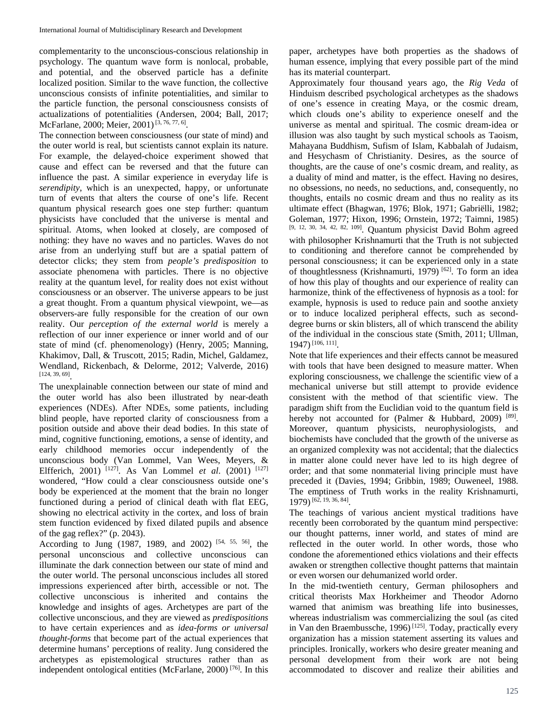complementarity to the unconscious-conscious relationship in psychology. The quantum wave form is nonlocal, probable, and potential, and the observed particle has a definite localized position. Similar to the wave function, the collective unconscious consists of infinite potentialities, and similar to the particle function, the personal consciousness consists of actualizations of potentialities (Andersen, 2004; Ball, 2017; McFarlane, 2000; Meier, 2001)<sup>[3, 76, 77, 6]</sup>.

The connection between consciousness (our state of mind) and the outer world is real, but scientists cannot explain its nature. For example, the delayed-choice experiment showed that cause and effect can be reversed and that the future can influence the past. A similar experience in everyday life is *serendipity*, which is an unexpected, happy, or unfortunate turn of events that alters the course of one's life. Recent quantum physical research goes one step further: quantum physicists have concluded that the universe is mental and spiritual. Atoms, when looked at closely, are composed of nothing: they have no waves and no particles. Waves do not arise from an underlying stuff but are a spatial pattern of detector clicks; they stem from *people's predisposition* to associate phenomena with particles. There is no objective reality at the quantum level, for reality does not exist without consciousness or an observer. The universe appears to be just a great thought. From a quantum physical viewpoint, we—as observers-are fully responsible for the creation of our own reality. Our *perception of the external world* is merely a reflection of our inner experience or inner world and of our state of mind (cf. phenomenology) (Henry, 2005; Manning, Khakimov, Dall, & Truscott, 2015; Radin, Michel, Galdamez, Wendland, Rickenbach, & Delorme, 2012; Valverde, 2016) [124, 39, 69] .

The unexplainable connection between our state of mind and the outer world has also been illustrated by near-death experiences (NDEs). After NDEs, some patients, including blind people, have reported clarity of consciousness from a position outside and above their dead bodies. In this state of mind, cognitive functioning, emotions, a sense of identity, and early childhood memories occur independently of the unconscious body (Van Lommel, Van Wees, Meyers, & Elfferich, 2001) [127]. As Van Lommel *et al*. (2001) [127] wondered, "How could a clear consciousness outside one's body be experienced at the moment that the brain no longer functioned during a period of clinical death with flat EEG, showing no electrical activity in the cortex, and loss of brain stem function evidenced by fixed dilated pupils and absence of the gag reflex?" (p. 2043).

According to Jung (1987, 1989, and 2002) [54, 55, 56], the personal unconscious and collective unconscious can illuminate the dark connection between our state of mind and the outer world. The personal unconscious includes all stored impressions experienced after birth, accessible or not. The collective unconscious is inherited and contains the knowledge and insights of ages. Archetypes are part of the collective unconscious, and they are viewed as *predispositions* to have certain experiences and as *idea-forms or universal thought-forms* that become part of the actual experiences that determine humans' perceptions of reality. Jung considered the archetypes as epistemological structures rather than as independent ontological entities (McFarlane, 2000) [76]. In this

paper, archetypes have both properties as the shadows of human essence, implying that every possible part of the mind has its material counterpart.

Approximately four thousand years ago, the *Rig Veda* of Hinduism described psychological archetypes as the shadows of one's essence in creating Maya, or the cosmic dream, which clouds one's ability to experience oneself and the universe as mental and spiritual. The cosmic dream-idea or illusion was also taught by such mystical schools as Taoism, Mahayana Buddhism, Sufism of Islam, Kabbalah of Judaism, and Hesychasm of Christianity. Desires, as the source of thoughts, are the cause of one's cosmic dream, and reality, as a duality of mind and matter, is the effect. Having no desires, no obsessions, no needs, no seductions, and, consequently, no thoughts, entails no cosmic dream and thus no reality as its ultimate effect (Bhagwan, 1976; Blok, 1971; Gabriëlli, 1982; Goleman, 1977; Hixon, 1996; Ornstein, 1972; Taimni, 1985) [9, 12, 30, 34, 42, 82, 109]. Quantum physicist David Bohm agreed with philosopher Krishnamurti that the Truth is not subjected to conditioning and therefore cannot be comprehended by personal consciousness; it can be experienced only in a state of thoughtlessness (Krishnamurti, 1979) [62]. To form an idea of how this play of thoughts and our experience of reality can harmonize, think of the effectiveness of hypnosis as a tool: for example, hypnosis is used to reduce pain and soothe anxiety or to induce localized peripheral effects, such as seconddegree burns or skin blisters, all of which transcend the ability of the individual in the conscious state (Smith, 2011; Ullman, 1947)[106, 111].

Note that life experiences and their effects cannot be measured with tools that have been designed to measure matter. When exploring consciousness, we challenge the scientific view of a mechanical universe but still attempt to provide evidence consistent with the method of that scientific view. The paradigm shift from the Euclidian void to the quantum field is hereby not accounted for (Palmer & Hubbard, 2009) [89]. Moreover, quantum physicists, neurophysiologists, and biochemists have concluded that the growth of the universe as an organized complexity was not accidental; that the dialectics in matter alone could never have led to its high degree of order; and that some nonmaterial living principle must have preceded it (Davies, 1994; Gribbin, 1989; Ouweneel, 1988. The emptiness of Truth works in the reality Krishnamurti, 1979)[62, 19, 36, 84].

The teachings of various ancient mystical traditions have recently been corroborated by the quantum mind perspective: our thought patterns, inner world, and states of mind are reflected in the outer world. In other words, those who condone the aforementioned ethics violations and their effects awaken or strengthen collective thought patterns that maintain or even worsen our dehumanized world order.

In the mid-twentieth century, German philosophers and critical theorists Max Horkheimer and Theodor Adorno warned that animism was breathing life into businesses, whereas industrialism was commercializing the soul (as cited in Van den Braembussche, 1996)<sup>[125]</sup>. Today, practically every organization has a mission statement asserting its values and principles. Ironically, workers who desire greater meaning and personal development from their work are not being accommodated to discover and realize their abilities and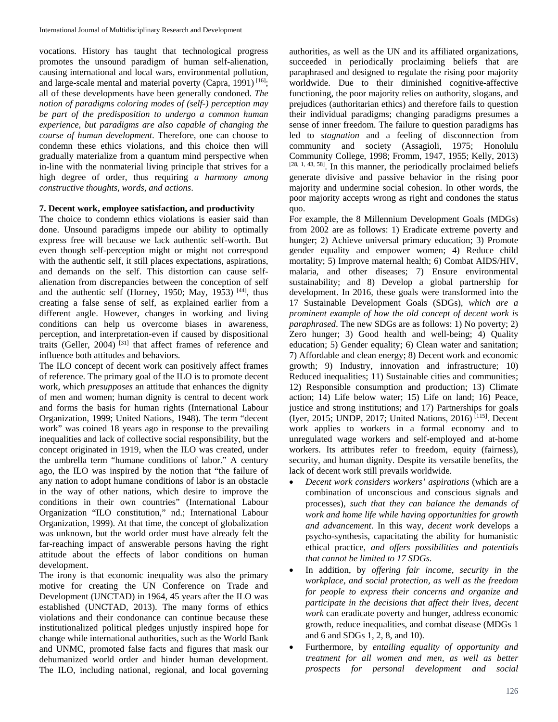vocations. History has taught that technological progress promotes the unsound paradigm of human self-alienation, causing international and local wars, environmental pollution, and large-scale mental and material poverty (Capra, 1991)<sup>[16]</sup>; all of these developments have been generally condoned. *The notion of paradigms coloring modes of (self-) perception may be part of the predisposition to undergo a common human experience, but paradigms are also capable of changing the course of human development*. Therefore, one can choose to condemn these ethics violations, and this choice then will gradually materialize from a quantum mind perspective when in-line with the nonmaterial living principle that strives for a high degree of order, thus requiring *a harmony among constructive thoughts, words, and actions*.

### **7. Decent work, employee satisfaction, and productivity**

The choice to condemn ethics violations is easier said than done. Unsound paradigms impede our ability to optimally express free will because we lack authentic self-worth. But even though self-perception might or might not correspond with the authentic self, it still places expectations, aspirations, and demands on the self. This distortion can cause selfalienation from discrepancies between the conception of self and the authentic self (Horney, 1950; May, 1953)<sup>[44]</sup>, thus creating a false sense of self, as explained earlier from a different angle. However, changes in working and living conditions can help us overcome biases in awareness, perception, and interpretation-even if caused by dispositional traits (Geller, 2004) [31] that affect frames of reference and influence both attitudes and behaviors.

The ILO concept of decent work can positively affect frames of reference. The primary goal of the ILO is to promote decent work, which *presupposes* an attitude that enhances the dignity of men and women; human dignity is central to decent work and forms the basis for human rights (International Labour Organization, 1999; United Nations, 1948). The term "decent work" was coined 18 years ago in response to the prevailing inequalities and lack of collective social responsibility, but the concept originated in 1919, when the ILO was created, under the umbrella term "humane conditions of labor." A century ago, the ILO was inspired by the notion that "the failure of any nation to adopt humane conditions of labor is an obstacle in the way of other nations, which desire to improve the conditions in their own countries" (International Labour Organization "ILO constitution," nd.; International Labour Organization, 1999). At that time, the concept of globalization was unknown, but the world order must have already felt the far-reaching impact of answerable persons having the right attitude about the effects of labor conditions on human development.

The irony is that economic inequality was also the primary motive for creating the UN Conference on Trade and Development (UNCTAD) in 1964, 45 years after the ILO was established (UNCTAD, 2013). The many forms of ethics violations and their condonance can continue because these institutionalized political pledges unjustly inspired hope for change while international authorities, such as the World Bank and UNMC, promoted false facts and figures that mask our dehumanized world order and hinder human development. The ILO, including national, regional, and local governing authorities, as well as the UN and its affiliated organizations, succeeded in periodically proclaiming beliefs that are paraphrased and designed to regulate the rising poor majority worldwide. Due to their diminished cognitive-affective functioning, the poor majority relies on authority, slogans, and prejudices (authoritarian ethics) and therefore fails to question their individual paradigms; changing paradigms presumes a sense of inner freedom. The failure to question paradigms has led to *stagnation* and a feeling of disconnection from community and society (Assagioli, 1975; Honolulu Community College, 1998; Fromm, 1947, 1955; Kelly, 2013)  $[28, 1, 43, 58]$ . In this manner, the periodically proclaimed beliefs generate divisive and passive behavior in the rising poor majority and undermine social cohesion. In other words, the poor majority accepts wrong as right and condones the status quo.

For example, the 8 Millennium Development Goals (MDGs) from 2002 are as follows: 1) Eradicate extreme poverty and hunger; 2) Achieve universal primary education; 3) Promote gender equality and empower women; 4) Reduce child mortality; 5) Improve maternal health; 6) Combat AIDS/HIV, malaria, and other diseases; 7) Ensure environmental sustainability; and 8) Develop a global partnership for development. In 2016, these goals were transformed into the 17 Sustainable Development Goals (SDGs), *which are a prominent example of how the old concept of decent work is paraphrased*. The new SDGs are as follows: 1) No poverty; 2) Zero hunger; 3) Good health and well-being; 4) Quality education; 5) Gender equality; 6) Clean water and sanitation; 7) Affordable and clean energy; 8) Decent work and economic growth; 9) Industry, innovation and infrastructure; 10) Reduced inequalities; 11) Sustainable cities and communities; 12) Responsible consumption and production; 13) Climate action; 14) Life below water; 15) Life on land; 16) Peace, justice and strong institutions; and 17) Partnerships for goals (Iyer, 2015; UNDP, 2017; United Nations, 2016) [115]. Decent work applies to workers in a formal economy and to unregulated wage workers and self-employed and at-home workers. Its attributes refer to freedom, equity (fairness), security, and human dignity. Despite its versatile benefits, the lack of decent work still prevails worldwide.

- *Decent work considers workers' aspirations* (which are a combination of unconscious and conscious signals and processes), *such that they can balance the demands of work and home life while having opportunities for growth and advancement*. In this way, *decent work* develops a psycho-synthesis, capacitating the ability for humanistic ethical practice, *and offers possibilities and potentials that cannot be limited to 17 SDGs*.
- In addition, by *offering fair income, security in the workplace, and social protection, as well as the freedom for people to express their concerns and organize and participate in the decisions that affect their lives*, *decent work* can eradicate poverty and hunger, address economic growth, reduce inequalities, and combat disease (MDGs 1 and 6 and SDGs 1, 2, 8, and 10).
- Furthermore, by *entailing equality of opportunity and treatment for all women and men, as well as better prospects for personal development and social*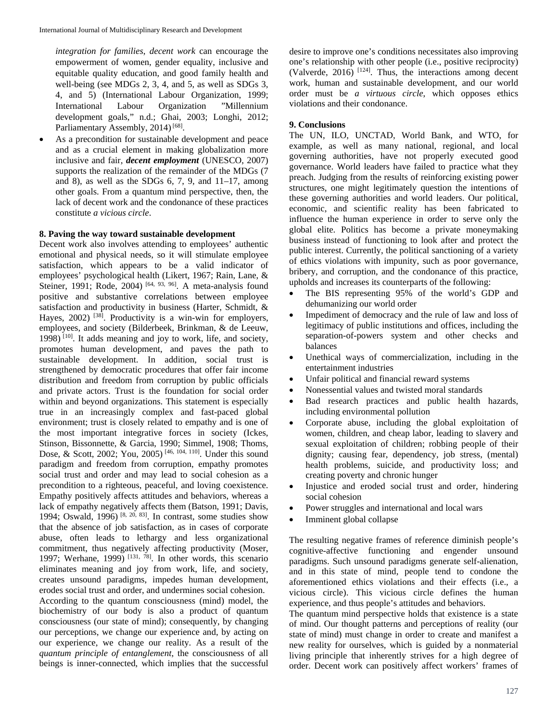*integration for families*, *decent work* can encourage the empowerment of women, gender equality, inclusive and equitable quality education, and good family health and well-being (see MDGs 2, 3, 4, and 5, as well as SDGs 3, 4, and 5) (International Labour Organization, 1999; International Labour Organization development goals," n.d.; Ghai, 2003; Longhi, 2012; Parliamentary Assembly, 2014)<sup>[68]</sup>.

As a precondition for sustainable development and peace and as a crucial element in making globalization more inclusive and fair, *decent employment* (UNESCO, 2007) supports the realization of the remainder of the MDGs (7 and 8), as well as the SDGs  $6, 7, 9$ , and  $11-17$ , among other goals. From a quantum mind perspective, then, the lack of decent work and the condonance of these practices constitute *a vicious circle*.

### **8. Paving the way toward sustainable development**

Decent work also involves attending to employees' authentic emotional and physical needs, so it will stimulate employee satisfaction, which appears to be a valid indicator of employees' psychological health (Likert, 1967; Rain, Lane, & Steiner, 1991; Rode, 2004)  $[64, 93, 96]$ . A meta-analysis found positive and substantive correlations between employee satisfaction and productivity in business (Harter, Schmidt, & Hayes, 2002)<sup>[38]</sup>. Productivity is a win-win for employers, employees, and society (Bilderbeek, Brinkman, & de Leeuw, 1998) [10]. It adds meaning and joy to work, life, and society, promotes human development, and paves the path to sustainable development. In addition, social trust is strengthened by democratic procedures that offer fair income distribution and freedom from corruption by public officials and private actors. Trust is the foundation for social order within and beyond organizations. This statement is especially true in an increasingly complex and fast-paced global environment; trust is closely related to empathy and is one of the most important integrative forces in society (Ickes, Stinson, Bissonnette, & Garcia, 1990; Simmel, 1908; Thoms, Dose, & Scott, 2002; You, 2005) [46, 104, 110]. Under this sound paradigm and freedom from corruption, empathy promotes social trust and order and may lead to social cohesion as a precondition to a righteous, peaceful, and loving coexistence. Empathy positively affects attitudes and behaviors, whereas a lack of empathy negatively affects them (Batson, 1991; Davis, 1994; Oswald, 1996) <sup>[8, 20, 83]</sup>. In contrast, some studies show that the absence of job satisfaction, as in cases of corporate abuse, often leads to lethargy and less organizational commitment, thus negatively affecting productivity (Moser, 1997; Werhane, 1999)<sup>[131, 78]</sup>. In other words, this scenario eliminates meaning and joy from work, life, and society, creates unsound paradigms, impedes human development, erodes social trust and order, and undermines social cohesion. According to the quantum consciousness (mind) model, the biochemistry of our body is also a product of quantum consciousness (our state of mind); consequently, by changing our perceptions, we change our experience and, by acting on our experience, we change our reality. As a result of the *quantum principle of entanglement*, the consciousness of all beings is inner-connected, which implies that the successful

desire to improve one's conditions necessitates also improving one's relationship with other people (i.e., positive reciprocity) (Valverde, 2016)  $[124]$ . Thus, the interactions among decent work, human and sustainable development, and our world order must be *a virtuous circle*, which opposes ethics violations and their condonance.

### **9. Conclusions**

The UN, ILO, UNCTAD, World Bank, and WTO, for example, as well as many national, regional, and local governing authorities, have not properly executed good governance. World leaders have failed to practice what they preach. Judging from the results of reinforcing existing power structures, one might legitimately question the intentions of these governing authorities and world leaders. Our political, economic, and scientific reality has been fabricated to influence the human experience in order to serve only the global elite. Politics has become a private moneymaking business instead of functioning to look after and protect the public interest. Currently, the political sanctioning of a variety of ethics violations with impunity, such as poor governance, bribery, and corruption, and the condonance of this practice, upholds and increases its counterparts of the following:

- The BIS representing 95% of the world's GDP and dehumanizing our world order
- Impediment of democracy and the rule of law and loss of legitimacy of public institutions and offices, including the separation-of-powers system and other checks and balances
- Unethical ways of commercialization, including in the entertainment industries
- Unfair political and financial reward systems
- Nonessential values and twisted moral standards
- Bad research practices and public health hazards, including environmental pollution
- Corporate abuse, including the global exploitation of women, children, and cheap labor, leading to slavery and sexual exploitation of children; robbing people of their dignity; causing fear, dependency, job stress, (mental) health problems, suicide, and productivity loss; and creating poverty and chronic hunger
- Injustice and eroded social trust and order, hindering social cohesion
- Power struggles and international and local wars
- Imminent global collapse

The resulting negative frames of reference diminish people's cognitive-affective functioning and engender unsound paradigms. Such unsound paradigms generate self-alienation, and in this state of mind, people tend to condone the aforementioned ethics violations and their effects (i.e., a vicious circle). This vicious circle defines the human experience, and thus people's attitudes and behaviors.

The quantum mind perspective holds that existence is a state of mind. Our thought patterns and perceptions of reality (our state of mind) must change in order to create and manifest a new reality for ourselves, which is guided by a nonmaterial living principle that inherently strives for a high degree of order. Decent work can positively affect workers' frames of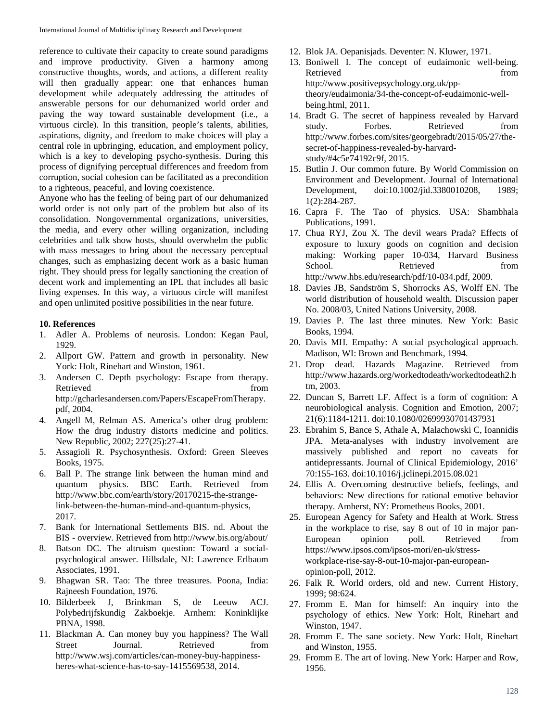reference to cultivate their capacity to create sound paradigms and improve productivity. Given a harmony among constructive thoughts, words, and actions, a different reality will then gradually appear: one that enhances human development while adequately addressing the attitudes of answerable persons for our dehumanized world order and paving the way toward sustainable development (i.e., a virtuous circle). In this transition, people's talents, abilities, aspirations, dignity, and freedom to make choices will play a central role in upbringing, education, and employment policy, which is a key to developing psycho-synthesis. During this process of dignifying perceptual differences and freedom from corruption, social cohesion can be facilitated as a precondition to a righteous, peaceful, and loving coexistence.

Anyone who has the feeling of being part of our dehumanized world order is not only part of the problem but also of its consolidation. Nongovernmental organizations, universities, the media, and every other willing organization, including celebrities and talk show hosts, should overwhelm the public with mass messages to bring about the necessary perceptual changes, such as emphasizing decent work as a basic human right. They should press for legally sanctioning the creation of decent work and implementing an IPL that includes all basic living expenses. In this way, a virtuous circle will manifest and open unlimited positive possibilities in the near future.

# **10. References**

- 1. Adler A. Problems of neurosis. London: Kegan Paul, 1929.
- 2. Allport GW. Pattern and growth in personality. New York: Holt, Rinehart and Winston, 1961.
- 3. Andersen C. Depth psychology: Escape from therapy. Retrieved from the state of  $\sim$ http://gcharlesandersen.com/Papers/EscapeFromTherapy. pdf, 2004.
- 4. Angell M, Relman AS. America's other drug problem: How the drug industry distorts medicine and politics. New Republic, 2002; 227(25):27-41.
- 5. Assagioli R. Psychosynthesis. Oxford: Green Sleeves Books, 1975.
- 6. Ball P. The strange link between the human mind and quantum physics. BBC Earth. Retrieved from http://www.bbc.com/earth/story/20170215-the-strangelink-between-the-human-mind-and-quantum-physics, 2017.
- 7. Bank for International Settlements BIS. nd. About the BIS - overview. Retrieved from http://www.bis.org/about/
- 8. Batson DC. The altruism question: Toward a socialpsychological answer. Hillsdale, NJ: Lawrence Erlbaum Associates, 1991.
- 9. Bhagwan SR. Tao: The three treasures. Poona, India: Rajneesh Foundation, 1976.
- 10. Bilderbeek J, Brinkman S, de Leeuw ACJ. Polybedrijfskundig Zakboekje. Arnhem: Koninklijke PBNA, 1998.
- 11. Blackman A. Can money buy you happiness? The Wall Street Journal. Retrieved from http://www.wsj.com/articles/can-money-buy-happinessheres-what-science-has-to-say-1415569538, 2014.
- 12. Blok JA. Oepanisjads. Deventer: N. Kluwer, 1971.
- 13. Boniwell I. The concept of eudaimonic well-being. Retrieved from the set of the set of the set of the set of the set of the set of the set of the set of the set of the set of the set of the set of the set of the set of the set of the set of the set of the set of the set o http://www.positivepsychology.org.uk/pptheory/eudaimonia/34-the-concept-of-eudaimonic-wellbeing.html, 2011.
- 14. Bradt G. The secret of happiness revealed by Harvard study. Forbes. Retrieved from http://www.forbes.com/sites/georgebradt/2015/05/27/thesecret-of-happiness-revealed-by-harvardstudy/#4c5e74192c9f, 2015.
- 15. Butlin J. Our common future. By World Commission on Environment and Development. Journal of International Development, doi:10.1002/jid.3380010208, 1989; 1(2):284-287.
- 16. Capra F. The Tao of physics. USA: Shambhala Publications, 1991.
- 17. Chua RYJ, Zou X. The devil wears Prada? Effects of exposure to luxury goods on cognition and decision making: Working paper 10-034, Harvard Business School. Retrieved from http://www.hbs.edu/research/pdf/10-034.pdf, 2009.
- 18. Davies JB, Sandström S, Shorrocks AS, Wolff EN. The world distribution of household wealth. Discussion paper No. 2008/03, United Nations University, 2008.
- 19. Davies P. The last three minutes. New York: Basic Books, 1994.
- 20. Davis MH. Empathy: A social psychological approach. Madison, WI: Brown and Benchmark, 1994.
- 21. Drop dead. Hazards Magazine. Retrieved from http://www.hazards.org/workedtodeath/workedtodeath2.h tm, 2003.
- 22. Duncan S, Barrett LF. Affect is a form of cognition: A neurobiological analysis. Cognition and Emotion, 2007; 21(6):1184-1211. doi:10.1080/02699930701437931
- 23. Ebrahim S, Bance S, Athale A, Malachowski C, Ioannidis JPA. Meta-analyses with industry involvement are massively published and report no caveats for antidepressants. Journal of Clinical Epidemiology, 2016' 70:155-163. doi:10.1016/j.jclinepi.2015.08.021
- 24. Ellis A. Overcoming destructive beliefs, feelings, and behaviors: New directions for rational emotive behavior therapy. Amherst, NY: Prometheus Books, 2001.
- 25. European Agency for Safety and Health at Work. Stress in the workplace to rise, say 8 out of 10 in major pan-European opinion poll. Retrieved from https://www.ipsos.com/ipsos-mori/en-uk/stressworkplace-rise-say-8-out-10-major-pan-europeanopinion-poll, 2012.
- 26. Falk R. World orders, old and new. Current History, 1999; 98:624.
- 27. Fromm E. Man for himself: An inquiry into the psychology of ethics. New York: Holt, Rinehart and Winston, 1947.
- 28. Fromm E. The sane society. New York: Holt, Rinehart and Winston, 1955.
- 29. Fromm E. The art of loving. New York: Harper and Row, 1956.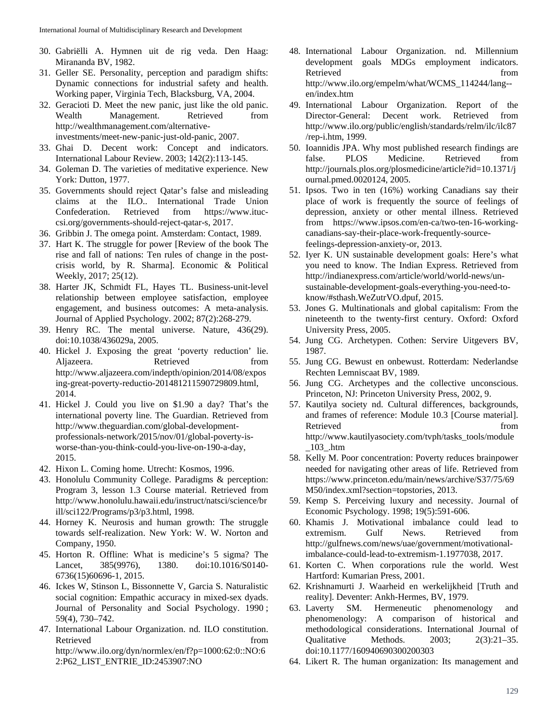- 30. Gabriëlli A. Hymnen uit de rig veda. Den Haag: Mirananda BV, 1982.
- 31. Geller SE. Personality, perception and paradigm shifts: Dynamic connections for industrial safety and health. Working paper, Virginia Tech, Blacksburg, VA, 2004.
- 32. Geracioti D. Meet the new panic, just like the old panic. Wealth Management. Retrieved from http://wealthmanagement.com/alternativeinvestments/meet-new-panic-just-old-panic, 2007.
- 33. Ghai D. Decent work: Concept and indicators. International Labour Review. 2003; 142(2):113-145.
- 34. Goleman D. The varieties of meditative experience. New York: Dutton, 1977.
- 35. Governments should reject Qatar's false and misleading claims at the ILO.. International Trade Union Confederation. Retrieved from https://www.ituccsi.org/governments-should-reject-qatar-s, 2017.
- 36. Gribbin J. The omega point. Amsterdam: Contact, 1989.
- 37. Hart K. The struggle for power [Review of the book The rise and fall of nations: Ten rules of change in the postcrisis world, by R. Sharma]. Economic & Political Weekly, 2017; 25(12).
- 38. Harter JK, Schmidt FL, Hayes TL. Business-unit-level relationship between employee satisfaction, employee engagement, and business outcomes: A meta-analysis. Journal of Applied Psychology. 2002; 87(2):268-279.
- 39. Henry RC. The mental universe. Nature, 436(29). doi:10.1038/436029a, 2005.
- 40. Hickel J. Exposing the great 'poverty reduction' lie. Aljazeera. Retrieved from http://www.aljazeera.com/indepth/opinion/2014/08/expos ing-great-poverty-reductio-201481211590729809.html, 2014.
- 41. Hickel J. Could you live on \$1.90 a day? That's the international poverty line. The Guardian. Retrieved from http://www.theguardian.com/global-developmentprofessionals-network/2015/nov/01/global-poverty-isworse-than-you-think-could-you-live-on-190-a-day, 2015.
- 42. Hixon L. Coming home. Utrecht: Kosmos, 1996.
- 43. Honolulu Community College. Paradigms & perception: Program 3, lesson 1.3 Course material. Retrieved from http://www.honolulu.hawaii.edu/instruct/natsci/science/br ill/sci122/Programs/p3/p3.html, 1998.
- 44. Horney K. Neurosis and human growth: The struggle towards self-realization. New York: W. W. Norton and Company, 1950.
- 45. Horton R. Offline: What is medicine's 5 sigma? The Lancet, 385(9976), 1380. doi:10.1016/S0140-6736(15)60696-1, 2015.
- 46. Ickes W, Stinson L, Bissonnette V, Garcia S. Naturalistic social cognition: Empathic accuracy in mixed-sex dyads. Journal of Personality and Social Psychology. 1990 ; 59(4), 730–742.
- 47. International Labour Organization. nd. ILO constitution. Retrieved from the state of  $\sim$ http://www.ilo.org/dyn/normlex/en/f?p=1000:62:0::NO:6 2:P62\_LIST\_ENTRIE\_ID:2453907:NO
- 48. International Labour Organization. nd. Millennium development goals MDGs employment indicators. Retrieved from the settlement of the settlement of the settlement of the settlement of the settlement of the settlement of the settlement of the settlement of the settlement of the settlement of the settlement of the settl http://www.ilo.org/empelm/what/WCMS\_114244/lang- en/index.htm
- 49. International Labour Organization. Report of the Director-General: Decent work. Retrieved from http://www.ilo.org/public/english/standards/relm/ilc/ilc87 /rep-i.htm, 1999.
- 50. Ioannidis JPA. Why most published research findings are false. PLOS Medicine. Retrieved from http://journals.plos.org/plosmedicine/article?id=10.1371/j ournal.pmed.0020124, 2005.
- 51. Ipsos. Two in ten (16%) working Canadians say their place of work is frequently the source of feelings of depression, anxiety or other mental illness. Retrieved from https://www.ipsos.com/en-ca/two-ten-16-workingcanadians-say-their-place-work-frequently-sourcefeelings-depression-anxiety-or, 2013.
- 52. Iyer K. UN sustainable development goals: Here's what you need to know. The Indian Express. Retrieved from http://indianexpress.com/article/world/world-news/unsustainable-development-goals-everything-you-need-toknow/#sthash.WeZutrVO.dpuf, 2015.
- 53. Jones G. Multinationals and global capitalism: From the nineteenth to the twenty-first century. Oxford: Oxford University Press, 2005.
- 54. Jung CG. Archetypen. Cothen: Servire Uitgevers BV, 1987.
- 55. Jung CG. Bewust en onbewust. Rotterdam: Nederlandse Rechten Lemniscaat BV, 1989.
- 56. Jung CG. Archetypes and the collective unconscious. Princeton, NJ: Princeton University Press, 2002, 9.
- 57. Kautilya society nd. Cultural differences, backgrounds, and frames of reference: Module 10.3 [Course material]. Retrieved from  $\sim$  from  $\sim$ http://www.kautilyasociety.com/tvph/tasks\_tools/module  $\_103$ \_.htm
- 58. Kelly M. Poor concentration: Poverty reduces brainpower needed for navigating other areas of life. Retrieved from https://www.princeton.edu/main/news/archive/S37/75/69 M50/index.xml?section=topstories, 2013.
- 59. Kemp S. Perceiving luxury and necessity. Journal of Economic Psychology. 1998; 19(5):591-606.
- 60. Khamis J. Motivational imbalance could lead to extremism. Gulf News. Retrieved from http://gulfnews.com/news/uae/government/motivationalimbalance-could-lead-to-extremism-1.1977038, 2017.
- 61. Korten C. When corporations rule the world. West Hartford: Kumarian Press, 2001.
- 62. Krishnamurti J. Waarheid en werkelijkheid [Truth and reality]. Deventer: Ankh-Hermes, BV, 1979.
- 63. Laverty SM. Hermeneutic phenomenology and phenomenology: A comparison of historical and methodological considerations. International Journal of Qualitative Methods. 2003; 2(3):21–35. doi:10.1177/160940690300200303
- 64. Likert R. The human organization: Its management and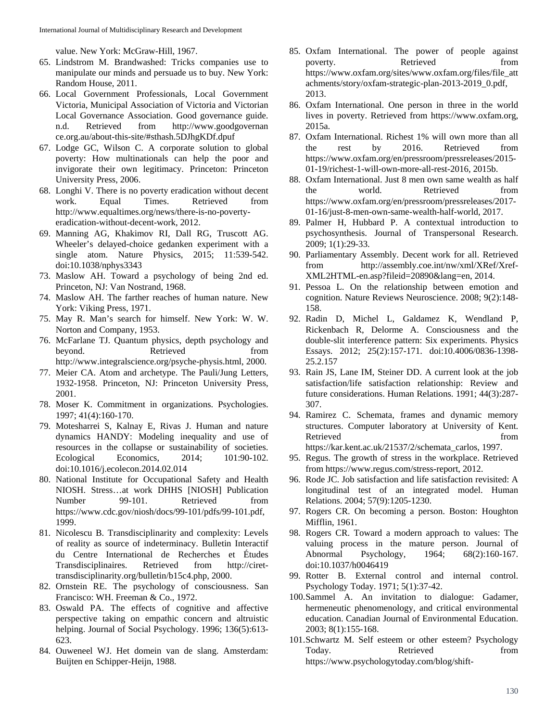value. New York: McGraw-Hill, 1967.

- 65. Lindstrom M. Brandwashed: Tricks companies use to manipulate our minds and persuade us to buy. New York: Random House, 2011.
- 66. Local Government Professionals, Local Government Victoria, Municipal Association of Victoria and Victorian Local Governance Association. Good governance guide. n.d. Retrieved from http://www.goodgovernan ce.org.au/about-this-site/#sthash.5DJhgKDf.dpuf
- 67. Lodge GC, Wilson C. A corporate solution to global poverty: How multinationals can help the poor and invigorate their own legitimacy. Princeton: Princeton University Press, 2006.
- 68. Longhi V. There is no poverty eradication without decent work. Equal Times. Retrieved from http://www.equaltimes.org/news/there-is-no-povertyeradication-without-decent-work, 2012.
- 69. Manning AG, Khakimov RI, Dall RG, Truscott AG. Wheeler's delayed-choice gedanken experiment with a single atom. Nature Physics, 2015; 11:539-542. doi:10.1038/nphys3343
- 73. Maslow AH. Toward a psychology of being 2nd ed. Princeton, NJ: Van Nostrand, 1968.
- 74. Maslow AH. The farther reaches of human nature. New York: Viking Press, 1971.
- 75. May R. Man's search for himself. New York: W. W. Norton and Company, 1953.
- 76. McFarlane TJ. Quantum physics, depth psychology and beyond. Retrieved from http://www.integralscience.org/psyche-physis.html, 2000.
- 77. Meier CA. Atom and archetype. The Pauli/Jung Letters, 1932-1958. Princeton, NJ: Princeton University Press, 2001.
- 78. Moser K. Commitment in organizations. Psychologies. 1997; 41(4):160-170.
- 79. Motesharrei S, Kalnay E, Rivas J. Human and nature dynamics HANDY: Modeling inequality and use of resources in the collapse or sustainability of societies. Ecological Economics, 2014; 101:90-102. doi:10.1016/j.ecolecon.2014.02.014
- 80. National Institute for Occupational Safety and Health NIOSH. Stress…at work DHHS [NIOSH] Publication Number 99-101. Retrieved from https://www.cdc.gov/niosh/docs/99-101/pdfs/99-101.pdf, 1999.
- 81. Nicolescu B. Transdisciplinarity and complexity: Levels of reality as source of indeterminacy. Bulletin Interactif du Centre International de Recherches et Études Transdisciplinaires. Retrieved from http://cirettransdisciplinarity.org/bulletin/b15c4.php, 2000.
- 82. Ornstein RE. The psychology of consciousness. San Francisco: WH. Freeman & Co., 1972.
- 83. Oswald PA. The effects of cognitive and affective perspective taking on empathic concern and altruistic helping. Journal of Social Psychology. 1996; 136(5):613-623.
- 84. Ouweneel WJ. Het domein van de slang. Amsterdam: Buijten en Schipper-Heijn, 1988.
- 85. Oxfam International. The power of people against poverty. Retrieved from https://www.oxfam.org/sites/www.oxfam.org/files/file\_att achments/story/oxfam-strategic-plan-2013-2019\_0.pdf, 2013.
- 86. Oxfam International. One person in three in the world lives in poverty. Retrieved from https://www.oxfam.org, 2015a.
- 87. Oxfam International. Richest 1% will own more than all the rest by 2016. Retrieved from https://www.oxfam.org/en/pressroom/pressreleases/2015- 01-19/richest-1-will-own-more-all-rest-2016, 2015b.
- 88. Oxfam International. Just 8 men own same wealth as half the world. Retrieved from https://www.oxfam.org/en/pressroom/pressreleases/2017- 01-16/just-8-men-own-same-wealth-half-world, 2017.
- 89. Palmer H, Hubbard P. A contextual introduction to psychosynthesis. Journal of Transpersonal Research. 2009; 1(1):29-33.
- 90. Parliamentary Assembly. Decent work for all. Retrieved from http://assembly.coe.int/nw/xml/XRef/Xref-XML2HTML-en.asp?fileid=20890&lang=en, 2014.
- 91. Pessoa L. On the relationship between emotion and cognition. Nature Reviews Neuroscience. 2008; 9(2):148- 158.
- 92. Radin D, Michel L, Galdamez K, Wendland P, Rickenbach R, Delorme A. Consciousness and the double-slit interference pattern: Six experiments. Physics Essays. 2012; 25(2):157-171. doi:10.4006/0836-1398- 25.2.157
- 93. Rain JS, Lane IM, Steiner DD. A current look at the job satisfaction/life satisfaction relationship: Review and future considerations. Human Relations. 1991; 44(3):287- 307.
- 94. Ramirez C. Schemata, frames and dynamic memory structures. Computer laboratory at University of Kent. Retrieved from  $\sim$ https://kar.kent.ac.uk/21537/2/schemata\_carlos, 1997.
- 95. Regus. The growth of stress in the workplace. Retrieved from https://www.regus.com/stress-report, 2012.
- 96. Rode JC. Job satisfaction and life satisfaction revisited: A longitudinal test of an integrated model. Human Relations. 2004; 57(9):1205-1230.
- 97. Rogers CR. On becoming a person. Boston: Houghton Mifflin, 1961.
- 98. Rogers CR. Toward a modern approach to values: The valuing process in the mature person. Journal of Abnormal Psychology, 1964; 68(2):160-167. doi:10.1037/h0046419
- 99. Rotter B. External control and internal control. Psychology Today. 1971; 5(1):37-42.
- 100.Sammel A. An invitation to dialogue: Gadamer, hermeneutic phenomenology, and critical environmental education. Canadian Journal of Environmental Education. 2003; 8(1):155-168.
- 101.Schwartz M. Self esteem or other esteem? Psychology Today. Retrieved from https://www.psychologytoday.com/blog/shift-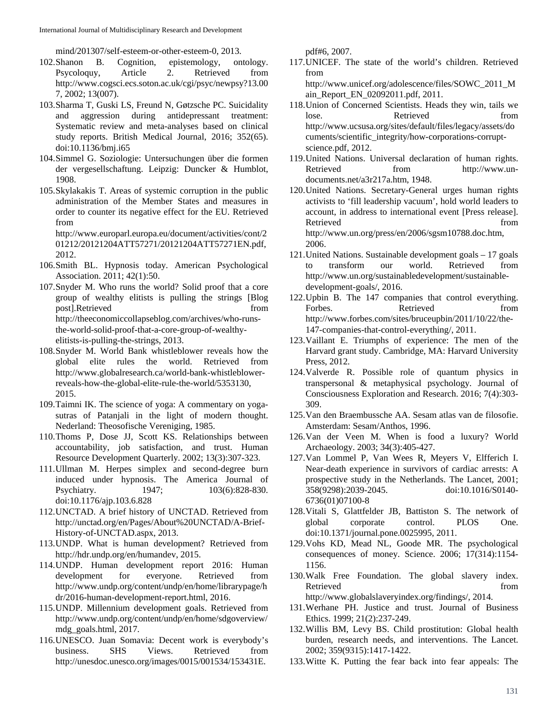mind/201307/self-esteem-or-other-esteem-0, 2013.

- 102.Shanon B. Cognition, epistemology, ontology. Psycoloquy, Article 2. Retrieved from http://www.cogsci.ecs.soton.ac.uk/cgi/psyc/newpsy?13.00 7, 2002; 13(007).
- 103.Sharma T, Guski LS, Freund N, Gøtzsche PC. Suicidality and aggression during antidepressant treatment: Systematic review and meta-analyses based on clinical study reports. British Medical Journal, 2016; 352(65). doi:10.1136/bmj.i65
- 104.Simmel G. Soziologie: Untersuchungen über die formen der vergesellschaftung. Leipzig: Duncker & Humblot, 1908.
- 105.Skylakakis T. Areas of systemic corruption in the public administration of the Member States and measures in order to counter its negative effect for the EU. Retrieved from

http://www.europarl.europa.eu/document/activities/cont/2 01212/20121204ATT57271/20121204ATT57271EN.pdf, 2012.

- 106.Smith BL. Hypnosis today. American Psychological Association. 2011; 42(1):50.
- 107.Snyder M. Who runs the world? Solid proof that a core group of wealthy elitists is pulling the strings [Blog post].Retrieved from from http://theeconomiccollapseblog.com/archives/who-runsthe-world-solid-proof-that-a-core-group-of-wealthyelitists-is-pulling-the-strings, 2013.
- 108.Snyder M. World Bank whistleblower reveals how the global elite rules the world. Retrieved from http://www.globalresearch.ca/world-bank-whistleblowerreveals-how-the-global-elite-rule-the-world/5353130, 2015.
- 109.Taimni IK. The science of yoga: A commentary on yogasutras of Patanjali in the light of modern thought. Nederland: Theosofische Vereniging, 1985.
- 110.Thoms P, Dose JJ, Scott KS. Relationships between accountability, job satisfaction, and trust. Human Resource Development Quarterly. 2002; 13(3):307-323.
- 111.Ullman M. Herpes simplex and second-degree burn induced under hypnosis. The America Journal of Psychiatry. 1947; 103(6):828-830. doi:10.1176/ajp.103.6.828
- 112.UNCTAD. A brief history of UNCTAD. Retrieved from http://unctad.org/en/Pages/About%20UNCTAD/A-Brief-History-of-UNCTAD.aspx, 2013.
- 113.UNDP. What is human development? Retrieved from http://hdr.undp.org/en/humandev, 2015.
- 114.UNDP. Human development report 2016: Human development for everyone. Retrieved from http://www.undp.org/content/undp/en/home/librarypage/h dr/2016-human-development-report.html, 2016.
- 115.UNDP. Millennium development goals. Retrieved from http://www.undp.org/content/undp/en/home/sdgoverview/ mdg\_goals.html, 2017.
- 116.UNESCO. Juan Somavia: Decent work is everybody's business. SHS Views. Retrieved from http://unesdoc.unesco.org/images/0015/001534/153431E.

pdf#6, 2007.

117.UNICEF. The state of the world's children. Retrieved from http://www.unicef.org/adolescence/files/SOWC\_2011\_M

ain\_Report\_EN\_02092011.pdf, 2011.

- 118.Union of Concerned Scientists. Heads they win, tails we lose. Retrieved from http://www.ucsusa.org/sites/default/files/legacy/assets/do cuments/scientific\_integrity/how-corporations-corruptscience.pdf, 2012.
- 119.United Nations. Universal declaration of human rights. Retrieved from http://www.undocuments.net/a3r217a.htm, 1948.
- 120.United Nations. Secretary-General urges human rights activists to 'fill leadership vacuum', hold world leaders to account, in address to international event [Press release]. Retrieved from the settlement of the settlement of the settlement of the settlement of the settlement of the settlement of the settlement of the settlement of the settlement of the settlement of the settlement of the settl http://www.un.org/press/en/2006/sgsm10788.doc.htm, 2006.
- 121.United Nations. Sustainable development goals 17 goals to transform our world. Retrieved from http://www.un.org/sustainabledevelopment/sustainabledevelopment-goals/, 2016.
- 122.Upbin B. The 147 companies that control everything. Forbes. Retrieved from http://www.forbes.com/sites/bruceupbin/2011/10/22/the-147-companies-that-control-everything/, 2011.
- 123.Vaillant E. Triumphs of experience: The men of the Harvard grant study. Cambridge, MA: Harvard University Press, 2012.
- 124.Valverde R. Possible role of quantum physics in transpersonal & metaphysical psychology. Journal of Consciousness Exploration and Research. 2016; 7(4):303- 309.
- 125.Van den Braembussche AA. Sesam atlas van de filosofie. Amsterdam: Sesam/Anthos, 1996.
- 126.Van der Veen M. When is food a luxury? World Archaeology. 2003; 34(3):405-427.
- 127.Van Lommel P, Van Wees R, Meyers V, Elfferich I. Near-death experience in survivors of cardiac arrests: A prospective study in the Netherlands. The Lancet, 2001; 358(9298):2039-2045. doi:10.1016/S0140- 6736(01)07100-8
- 128.Vitali S, Glattfelder JB, Battiston S. The network of global corporate control. PLOS One. doi:10.1371/journal.pone.0025995, 2011.
- 129.Vohs KD, Mead NL, Goode MR. The psychological consequences of money. Science. 2006; 17(314):1154- 1156.
- 130.Walk Free Foundation. The global slavery index. Retrieved from the state of  $\sim$ http://www.globalslaveryindex.org/findings/, 2014.
- 131.Werhane PH. Justice and trust. Journal of Business Ethics. 1999; 21(2):237-249.
- 132.Willis BM, Levy BS. Child prostitution: Global health burden, research needs, and interventions. The Lancet. 2002; 359(9315):1417-1422.
- 133.Witte K. Putting the fear back into fear appeals: The